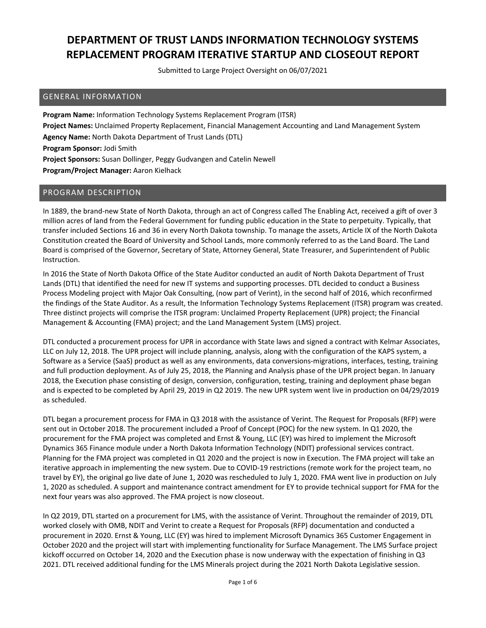Submitted to Large Project Oversight on 06/07/2021

#### GENERAL INFORMATION

**Program Name:** Information Technology Systems Replacement Program (ITSR) **Project Names:** Unclaimed Property Replacement, Financial Management Accounting and Land Management System **Agency Name:** North Dakota Department of Trust Lands (DTL) **Program Sponsor:** Jodi Smith **Project Sponsors:** Susan Dollinger, Peggy Gudvangen and Catelin Newell **Program/Project Manager:** Aaron Kielhack

#### PROGRAM DESCRIPTION

In 1889, the brand‐new State of North Dakota, through an act of Congress called The Enabling Act, received a gift of over 3 million acres of land from the Federal Government for funding public education in the State to perpetuity. Typically, that transfer included Sections 16 and 36 in every North Dakota township. To manage the assets, Article IX of the North Dakota Constitution created the Board of University and School Lands, more commonly referred to as the Land Board. The Land Board is comprised of the Governor, Secretary of State, Attorney General, State Treasurer, and Superintendent of Public Instruction.

In 2016 the State of North Dakota Office of the State Auditor conducted an audit of North Dakota Department of Trust Lands (DTL) that identified the need for new IT systems and supporting processes. DTL decided to conduct a Business Process Modeling project with Major Oak Consulting, (now part of Verint), in the second half of 2016, which reconfirmed the findings of the State Auditor. As a result, the Information Technology Systems Replacement (ITSR) program was created. Three distinct projects will comprise the ITSR program: Unclaimed Property Replacement (UPR) project; the Financial Management & Accounting (FMA) project; and the Land Management System (LMS) project.

DTL conducted a procurement process for UPR in accordance with State laws and signed a contract with Kelmar Associates, LLC on July 12, 2018. The UPR project will include planning, analysis, along with the configuration of the KAPS system, a Software as a Service (SaaS) product as well as any environments, data conversions‐migrations, interfaces, testing, training and full production deployment. As of July 25, 2018, the Planning and Analysis phase of the UPR project began. In January 2018, the Execution phase consisting of design, conversion, configuration, testing, training and deployment phase began and is expected to be completed by April 29, 2019 in Q2 2019. The new UPR system went live in production on 04/29/2019 as scheduled.

DTL began a procurement process for FMA in Q3 2018 with the assistance of Verint. The Request for Proposals (RFP) were sent out in October 2018. The procurement included a Proof of Concept (POC) for the new system. In Q1 2020, the procurement for the FMA project was completed and Ernst & Young, LLC (EY) was hired to implement the Microsoft Dynamics 365 Finance module under a North Dakota Information Technology (NDIT) professional services contract. Planning for the FMA project was completed in Q1 2020 and the project is now in Execution. The FMA project will take an iterative approach in implementing the new system. Due to COVID‐19 restrictions (remote work for the project team, no travel by EY), the original go live date of June 1, 2020 was rescheduled to July 1, 2020. FMA went live in production on July 1, 2020 as scheduled. A support and maintenance contract amendment for EY to provide technical support for FMA for the next four years was also approved. The FMA project is now closeout.

In Q2 2019, DTL started on a procurement for LMS, with the assistance of Verint. Throughout the remainder of 2019, DTL worked closely with OMB, NDIT and Verint to create a Request for Proposals (RFP) documentation and conducted a procurement in 2020. Ernst & Young, LLC (EY) was hired to implement Microsoft Dynamics 365 Customer Engagement in October 2020 and the project will start with implementing functionality for Surface Management. The LMS Surface project kickoff occurred on October 14, 2020 and the Execution phase is now underway with the expectation of finishing in Q3 2021. DTL received additional funding for the LMS Minerals project during the 2021 North Dakota Legislative session.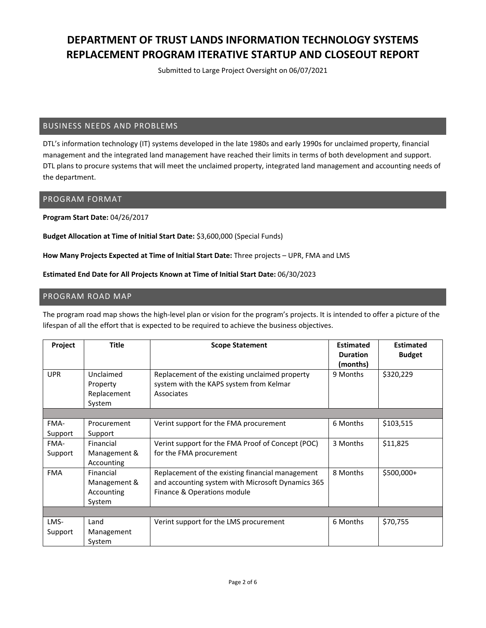Submitted to Large Project Oversight on 06/07/2021

#### BUSINESS NEEDS AND PROBLEMS

DTL's information technology (IT) systems developed in the late 1980s and early 1990s for unclaimed property, financial management and the integrated land management have reached their limits in terms of both development and support. DTL plans to procure systems that will meet the unclaimed property, integrated land management and accounting needs of the department.

#### PROGRAM FORMAT

**Program Start Date:** 04/26/2017

**Budget Allocation at Time of Initial Start Date:** \$3,600,000 (Special Funds)

**How Many Projects Expected at Time of Initial Start Date:** Three projects – UPR, FMA and LMS

#### **Estimated End Date for All Projects Known at Time of Initial Start Date:** 06/30/2023

### PROGRAM ROAD MAP

The program road map shows the high‐level plan or vision for the program's projects. It is intended to offer a picture of the lifespan of all the effort that is expected to be required to achieve the business objectives.

| Project    | <b>Title</b>                                   | <b>Scope Statement</b>                                                                                  | <b>Estimated</b><br><b>Duration</b><br>(months) | <b>Estimated</b><br><b>Budget</b> |
|------------|------------------------------------------------|---------------------------------------------------------------------------------------------------------|-------------------------------------------------|-----------------------------------|
| <b>UPR</b> | Unclaimed<br>Property<br>Replacement<br>System | Replacement of the existing unclaimed property<br>system with the KAPS system from Kelmar<br>Associates | 9 Months                                        | \$320,229                         |
|            |                                                |                                                                                                         |                                                 |                                   |
| FMA-       | Procurement                                    | Verint support for the FMA procurement                                                                  | 6 Months                                        | \$103,515                         |
| Support    | Support                                        |                                                                                                         |                                                 |                                   |
| FMA-       | Financial                                      | Verint support for the FMA Proof of Concept (POC)                                                       | 3 Months                                        | \$11,825                          |
| Support    | Management &                                   | for the FMA procurement                                                                                 |                                                 |                                   |
|            | Accounting                                     |                                                                                                         |                                                 |                                   |
| <b>FMA</b> | Financial                                      | Replacement of the existing financial management                                                        | 8 Months                                        | \$500,000+                        |
|            | Management &                                   | and accounting system with Microsoft Dynamics 365                                                       |                                                 |                                   |
|            | Accounting                                     | Finance & Operations module                                                                             |                                                 |                                   |
|            | System                                         |                                                                                                         |                                                 |                                   |
|            |                                                |                                                                                                         |                                                 |                                   |
| LMS-       | Land                                           | Verint support for the LMS procurement                                                                  | 6 Months                                        | \$70,755                          |
| Support    | Management                                     |                                                                                                         |                                                 |                                   |
|            | System                                         |                                                                                                         |                                                 |                                   |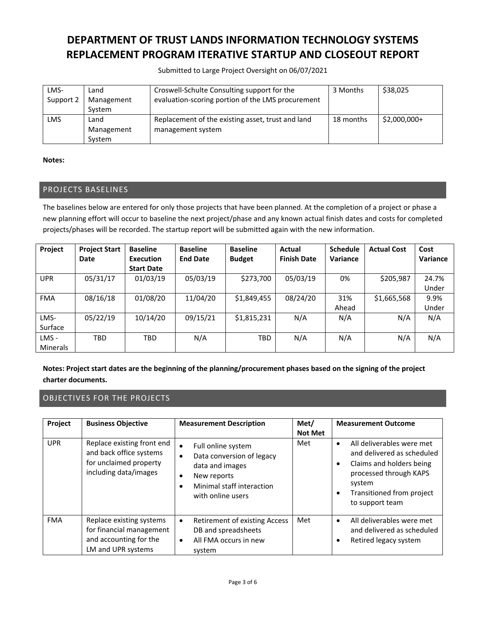Submitted to Large Project Oversight on 06/07/2021

| LMS-<br>Support 2 | Land<br>Management<br>System | Croswell-Schulte Consulting support for the<br>evaluation-scoring portion of the LMS procurement | 3 Months  | \$38,025      |
|-------------------|------------------------------|--------------------------------------------------------------------------------------------------|-----------|---------------|
| LMS               | Land                         | Replacement of the existing asset, trust and land                                                | 18 months | $$2,000,000+$ |
|                   | Management                   | management system                                                                                |           |               |
|                   | System                       |                                                                                                  |           |               |

**Notes:** 

### PROJECTS BASELINES

The baselines below are entered for only those projects that have been planned. At the completion of a project or phase a new planning effort will occur to baseline the next project/phase and any known actual finish dates and costs for completed projects/phases will be recorded. The startup report will be submitted again with the new information.

| Project         | <b>Project Start</b> | <b>Baseline</b>   | <b>Baseline</b> | <b>Baseline</b> | Actual             | <b>Schedule</b> | <b>Actual Cost</b> | Cost     |
|-----------------|----------------------|-------------------|-----------------|-----------------|--------------------|-----------------|--------------------|----------|
|                 | Date                 | Execution         | <b>End Date</b> | <b>Budget</b>   | <b>Finish Date</b> | Variance        |                    | Variance |
|                 |                      | <b>Start Date</b> |                 |                 |                    |                 |                    |          |
| <b>UPR</b>      | 05/31/17             | 01/03/19          | 05/03/19        | \$273,700       | 05/03/19           | 0%              | \$205,987          | 24.7%    |
|                 |                      |                   |                 |                 |                    |                 |                    | Under    |
| <b>FMA</b>      | 08/16/18             | 01/08/20          | 11/04/20        | \$1,849,455     | 08/24/20           | 31%             | \$1,665,568        | 9.9%     |
|                 |                      |                   |                 |                 |                    | Ahead           |                    | Under    |
| LMS-            | 05/22/19             | 10/14/20          | 09/15/21        | \$1,815,231     | N/A                | N/A             | N/A                | N/A      |
| Surface         |                      |                   |                 |                 |                    |                 |                    |          |
| LMS-            | TBD                  | <b>TBD</b>        | N/A             | TBD             | N/A                | N/A             | N/A                | N/A      |
| <b>Minerals</b> |                      |                   |                 |                 |                    |                 |                    |          |

Notes: Project start dates are the beginning of the planning/procurement phases based on the signing of the project **charter documents.**

### OBJECTIVES FOR THE PROJECTS

| Project    | <b>Business Objective</b>                                                                                | <b>Measurement Description</b>                                                                                                                                                          | Met/<br><b>Not Met</b> | <b>Measurement Outcome</b>                                                                                                                                                                                     |
|------------|----------------------------------------------------------------------------------------------------------|-----------------------------------------------------------------------------------------------------------------------------------------------------------------------------------------|------------------------|----------------------------------------------------------------------------------------------------------------------------------------------------------------------------------------------------------------|
| <b>UPR</b> | Replace existing front end<br>and back office systems<br>for unclaimed property<br>including data/images | Full online system<br>$\bullet$<br>Data conversion of legacy<br>$\bullet$<br>data and images<br>New reports<br>$\bullet$<br>Minimal staff interaction<br>$\bullet$<br>with online users | Met                    | All deliverables were met<br>$\bullet$<br>and delivered as scheduled<br>Claims and holders being<br>$\bullet$<br>processed through KAPS<br>system<br>Transitioned from project<br>$\bullet$<br>to support team |
| <b>FMA</b> | Replace existing systems<br>for financial management<br>and accounting for the<br>LM and UPR systems     | Retirement of existing Access<br>$\bullet$<br>DB and spreadsheets<br>All FMA occurs in new<br>$\bullet$<br>system                                                                       | Met                    | All deliverables were met<br>$\bullet$<br>and delivered as scheduled<br>Retired legacy system<br>٠                                                                                                             |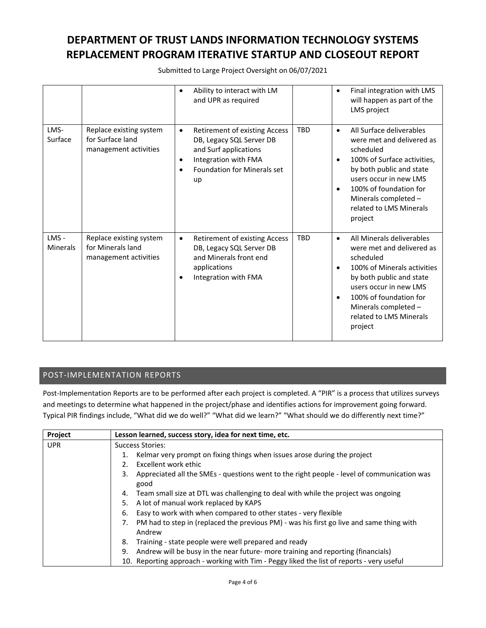Submitted to Large Project Oversight on 06/07/2021

|                         |                                                                       | Ability to interact with LM<br>$\bullet$<br>and UPR as required                                                                                                                               |            | Final integration with LMS<br>$\bullet$<br>will happen as part of the<br>LMS project                                                                                                                                                                                                    |
|-------------------------|-----------------------------------------------------------------------|-----------------------------------------------------------------------------------------------------------------------------------------------------------------------------------------------|------------|-----------------------------------------------------------------------------------------------------------------------------------------------------------------------------------------------------------------------------------------------------------------------------------------|
| LMS-<br>Surface         | Replace existing system<br>for Surface land<br>management activities  | Retirement of existing Access<br>$\bullet$<br>DB, Legacy SQL Server DB<br>and Surf applications<br>Integration with FMA<br>$\bullet$<br><b>Foundation for Minerals set</b><br>$\bullet$<br>up | <b>TBD</b> | All Surface deliverables<br>$\bullet$<br>were met and delivered as<br>scheduled<br>100% of Surface activities.<br>$\bullet$<br>by both public and state<br>users occur in new LMS<br>100% of foundation for<br>$\bullet$<br>Minerals completed -<br>related to LMS Minerals<br>project  |
| LMS-<br><b>Minerals</b> | Replace existing system<br>for Minerals land<br>management activities | Retirement of existing Access<br>$\bullet$<br>DB, Legacy SQL Server DB<br>and Minerals front end<br>applications<br>Integration with FMA                                                      | <b>TBD</b> | All Minerals deliverables<br>$\bullet$<br>were met and delivered as<br>scheduled<br>100% of Minerals activities<br>$\bullet$<br>by both public and state<br>users occur in new LMS<br>100% of foundation for<br>$\bullet$<br>Minerals completed -<br>related to LMS Minerals<br>project |

### POST‐IMPLEMENTATION REPORTS

Post-Implementation Reports are to be performed after each project is completed. A "PIR" is a process that utilizes surveys and meetings to determine what happened in the project/phase and identifies actions for improvement going forward. Typical PIR findings include, "What did we do well?" "What did we learn?" "What should we do differently next time?"

| Project    | Lesson learned, success story, idea for next time, etc.                                                  |  |  |
|------------|----------------------------------------------------------------------------------------------------------|--|--|
| <b>UPR</b> | <b>Success Stories:</b>                                                                                  |  |  |
|            | Kelmar very prompt on fixing things when issues arose during the project<br>1.                           |  |  |
|            | Excellent work ethic<br>$\mathcal{P}$                                                                    |  |  |
|            | Appreciated all the SMEs - questions went to the right people - level of communication was<br>3.<br>good |  |  |
|            | Team small size at DTL was challenging to deal with while the project was ongoing<br>4.                  |  |  |
|            | A lot of manual work replaced by KAPS<br>5.                                                              |  |  |
|            | Easy to work with when compared to other states - very flexible<br>6.                                    |  |  |
|            | PM had to step in (replaced the previous PM) - was his first go live and same thing with<br>7.<br>Andrew |  |  |
|            | Training - state people were well prepared and ready<br>8.                                               |  |  |
|            | Andrew will be busy in the near future- more training and reporting (financials)<br>9.                   |  |  |
|            | 10. Reporting approach - working with Tim - Peggy liked the list of reports - very useful                |  |  |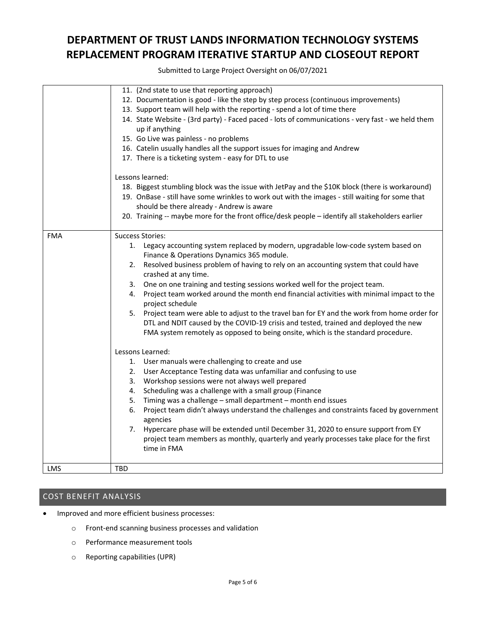Submitted to Large Project Oversight on 06/07/2021

|            | 11. (2nd state to use that reporting approach)                                                    |
|------------|---------------------------------------------------------------------------------------------------|
|            | 12. Documentation is good - like the step by step process (continuous improvements)               |
|            | 13. Support team will help with the reporting - spend a lot of time there                         |
|            | 14. State Website - (3rd party) - Faced paced - lots of communications - very fast - we held them |
|            | up if anything                                                                                    |
|            |                                                                                                   |
|            | 15. Go Live was painless - no problems                                                            |
|            | 16. Catelin usually handles all the support issues for imaging and Andrew                         |
|            | 17. There is a ticketing system - easy for DTL to use                                             |
|            | Lessons learned:                                                                                  |
|            | 18. Biggest stumbling block was the issue with JetPay and the \$10K block (there is workaround)   |
|            | 19. OnBase - still have some wrinkles to work out with the images - still waiting for some that   |
|            | should be there already - Andrew is aware                                                         |
|            | 20. Training -- maybe more for the front office/desk people - identify all stakeholders earlier   |
|            |                                                                                                   |
| <b>FMA</b> | <b>Success Stories:</b>                                                                           |
|            | 1. Legacy accounting system replaced by modern, upgradable low-code system based on               |
|            | Finance & Operations Dynamics 365 module.                                                         |
|            | 2. Resolved business problem of having to rely on an accounting system that could have            |
|            | crashed at any time.                                                                              |
|            | 3. One on one training and testing sessions worked well for the project team.                     |
|            | Project team worked around the month end financial activities with minimal impact to the<br>4.    |
|            | project schedule                                                                                  |
|            | 5. Project team were able to adjust to the travel ban for EY and the work from home order for     |
|            | DTL and NDIT caused by the COVID-19 crisis and tested, trained and deployed the new               |
|            | FMA system remotely as opposed to being onsite, which is the standard procedure.                  |
|            |                                                                                                   |
|            | Lessons Learned:                                                                                  |
|            | 1. User manuals were challenging to create and use                                                |
|            | User Acceptance Testing data was unfamiliar and confusing to use<br>2.                            |
|            | 3. Workshop sessions were not always well prepared                                                |
|            | Scheduling was a challenge with a small group (Finance<br>4.                                      |
|            | Timing was a challenge - small department - month end issues<br>5.                                |
|            | Project team didn't always understand the challenges and constraints faced by government<br>6.    |
|            | agencies                                                                                          |
|            | Hypercare phase will be extended until December 31, 2020 to ensure support from EY<br>7.          |
|            | project team members as monthly, quarterly and yearly processes take place for the first          |
|            | time in FMA                                                                                       |
|            |                                                                                                   |
| <b>LMS</b> | TBD                                                                                               |

### COST BENEFIT ANALYSIS

- Improved and more efficient business processes:
	- o Front‐end scanning business processes and validation
	- o Performance measurement tools
	- o Reporting capabilities (UPR)